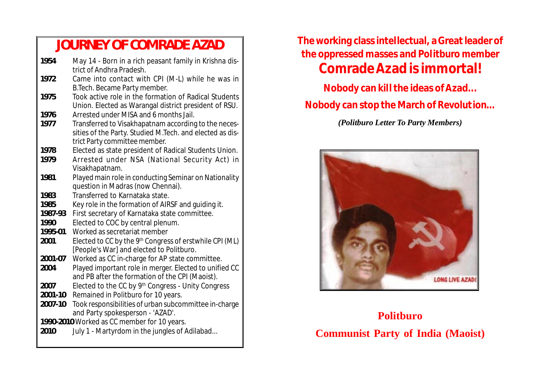# **JOURNEY OF COMRADE AZAD**

- **1954** May 14 Born in a rich peasant family in Krishna district of Andhra Pradesh. **1972** Came into contact with CPI (M-L) while he was in B.Tech. Became Party member. **1975** Took active role in the formation of Radical Students Union. Elected as Warangal district president of RSU. **1976** Arrested under MISA and 6 months Jail. **1977** Transferred to Visakhapatnam according to the necessities of the Party. Studied M.Tech. and elected as district Party committee member. **1978** Elected as state president of Radical Students Union.
- **1979** Arrested under NSA (National Security Act) in Visakhapatnam.
- **1981** Played main role in conducting Seminar on Nationality question in Madras (now Chennai).
- 1983 Transferred to Karnataka state.<br>**1985** Key role in the formation of AlF
- **1985** Key role in the formation of AIRSF and guiding it.
- **1987-93** First secretary of Karnataka state committee.
- **1990** Elected to COC by central plenum.<br>**1995-01** Worked as secretariat member
- **1995-01** Worked as secretariat member
- **2001** Elected to CC by the 9th Congress of erstwhile CPI (ML) [People's War] and elected to Politburo.
- **2001-07** Worked as CC in-charge for AP state committee.
- **2004** Played important role in merger. Elected to unified CC and PB after the formation of the CPI (Maoist).
- 2007 Elected to the CC by 9<sup>th</sup> Congress Unity Congress
- **2001-10** Remained in Politburo for 10 years.
- **2007-10** Took responsibilities of urban subcommittee in-charge and Party spokesperson - 'AZAD'.
- **1990-2010** Worked as CC member for 10 years.
- **2010** July 1 Martyrdom in the jungles of Adilabad...

**The working class intellectual, a Great leader of the oppressed masses and Politburo member**

# **Comrade Azad is immortal!**

**Nobody can kill the ideas of Azad... Nobody can stop the March of Revolution…**

## *(Politburo Letter To Party Members)*



# **Politburo Communist Party of India (Maoist)**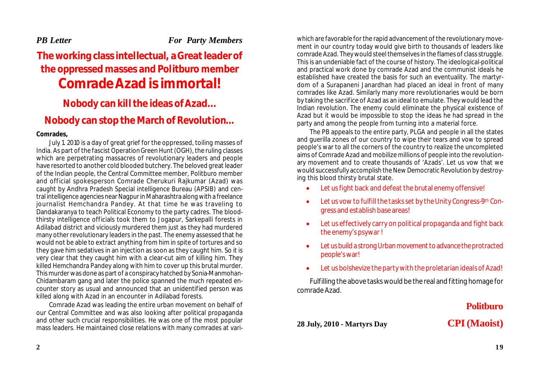### **2**

**Nobody can kill the ideas of Azad...**

# **Nobody can stop the March of Revolution…**

**The working class intellectual, a Great leader of**

**the oppressed masses and Politburo member**

**Comrade Azad is immortal!**

#### **Comrades,**

July 1. 2010 is a day of great grief for the oppressed, toiling masses of India. As part of the fascist Operation Green Hunt (OGH), the ruling classes which are perpetrating massacres of revolutionary leaders and people have resorted to another cold blooded butchery. The beloved great leader of the Indian people, the Central Committee member, Politburo member and official spokesperson Comrade Cherukuri Rajkumar (Azad) was caught by Andhra Pradesh Special intelligence Bureau (APSIB) and central intelligence agencies near Nagpur in Maharashtra along with a freelance journalist Hemchandra Pandey. At that time he was traveling to Dandakaranya to teach Political Economy to the party cadres. The bloodthirsty intelligence officials took them to Jogapur, Sarkepalli forests in Adilabad district and viciously murdered them just as they had murdered many other revolutionary leaders in the past. The enemy assessed that he would not be able to extract anything from him in spite of tortures and so they gave him sedatives in an injection as soon as they caught him. So it is very clear that they caught him with a clear-cut aim of killing him. They killed Hemchandra Pandey along with him to cover up this brutal murder. This murder was done as part of a conspiracy hatched by Sonia-Manmohan-Chidambaram gang and later the police spanned the much repeated encounter story as usual and announced that an unidentified person was killed along with Azad in an encounter in Adilabad forests.

Comrade Azad was leading the entire urban movement on behalf of our Central Committee and was also looking after political propaganda and other such crucial responsibilities. He was one of the most popular mass leaders. He maintained close relations with many comrades at variwhich are favorable for the rapid advancement of the revolutionary movement in our country today would give birth to thousands of leaders like comrade Azad. They would steel themselves in the flames of class struggle. This is an undeniable fact of the course of history. The ideological-political and practical work done by comrade Azad and the communist ideals he established have created the basis for such an eventuality. The martyrdom of a Surapaneni Janardhan had placed an ideal in front of many comrades like Azad. Similarly many more revolutionaries would be born by taking the sacrifice of Azad as an ideal to emulate. They would lead the Indian revolution. The enemy could eliminate the physical existence of Azad but it would be impossible to stop the ideas he had spread in the party and among the people from turning into a material force.

The PB appeals to the entire party, PLGA and people in all the states and guerilla zones of our country to wipe their tears and vow to spread people's war to all the corners of the country to realize the uncompleted aims of Comrade Azad and mobilize millions of people into the revolutionary movement and to create thousands of 'Azads'. Let us vow that we would successfully accomplish the New Democratic Revolution by destroying this blood thirsty brutal state.

- *Let us fight back and defeat the brutal enemy offensive!*
- *Let us vow to fulfill the tasks set by the Unity Congress-9th Congress and establish base areas!*
- *Let us effectively carry on political propaganda and fight back the enemy's psywar !*
- *Let us build a strong Urban movement to advance the protracted people's war!*
- *Let us bolshevize the party with the proletarian ideals of Azad!*

Fulfilling the above tasks would be the real and fitting homage for comrade Azad.

## **Politburo**

**28 July, 2010 - Martyrs Day CPI (Maoist)**

**PB Letter** For Party Members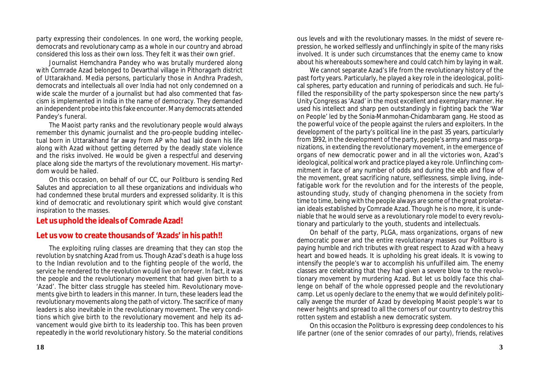party expressing their condolences. In one word, the working people, democrats and revolutionary camp as a whole in our country and abroad considered this loss as their own loss. They felt it was their own grief.

Journalist Hemchandra Pandey who was brutally murdered along with Comrade Azad belonged to Devarthal village in Pithoragarh district of Uttarakhand. Media persons, particularly those in Andhra Pradesh, democrats and intellectuals all over India had not only condemned on a wide scale the murder of a journalist but had also commented that fascism is implemented in India in the name of democracy. They demanded an independent probe into this fake encounter. Many democrats attended Pandey's funeral.

The Maoist party ranks and the revolutionary people would always remember this dynamic journalist and the pro-people budding intellectual born in Uttarakhand far away from AP who had laid down his life along with Azad without getting deterred by the deadly state violence and the risks involved. He would be given a respectful and deserving place along side the martyrs of the revolutionary movement. His martyrdom would be hailed.

On this occasion, on behalf of our CC, our Politburo is sending Red Salutes and appreciation to all these organizations and individuals who had condemned these brutal murders and expressed solidarity. It is this kind of democratic and revolutionary spirit which would give constant inspiration to the masses.

#### **Let us uphold the ideals of Comrade Azad!**

#### **Let us vow to create thousands of 'Azads' in his path!!**

The exploiting ruling classes are dreaming that they can stop the revolution by snatching Azad from us. Though Azad's death is a huge loss to the Indian revolution and to the fighting people of the world, the service he rendered to the revolution would live on forever. In fact, it was the people and the revolutionary movement that had given birth to a 'Azad'. The bitter class struggle has steeled him. Revolutionary movements give birth to leaders in this manner. In turn, these leaders lead the revolutionary movements along the path of victory. The sacrifice of many leaders is also inevitable in the revolutionary movement. The very conditions which give birth to the revolutionary movement and help its advancement would give birth to its leadership too. This has been proven repeatedly in the world revolutionary history. So the material conditions

ous levels and with the revolutionary masses. In the midst of severe repression, he worked selflessly and unflinchingly in spite of the many risks involved. It is under such circumstances that the enemy came to know about his whereabouts somewhere and could catch him by laying in wait.

We cannot separate Azad's life from the revolutionary history of the past forty years. Particularly, he played a key role in the ideological, political spheres, party education and running of periodicals and such. He fulfilled the responsibility of the party spokesperson since the new party's Unity Congress as 'Azad' in the most excellent and exemplary manner. He used his intellect and sharp pen outstandingly in fighting back the 'War on People' led by the Sonia-Manmohan-Chidambaram gang. He stood as the powerful voice of the people against the rulers and exploiters. In the development of the party's political line in the past 35 years, particularly from 1992, in the development of the party, people's army and mass organizations, in extending the revolutionary movement, in the emergence of organs of new democratic power and in all the victories won, Azad's ideological, political work and practice played a key role. Unflinching commitment in face of any number of odds and during the ebb and flow of the movement, great sacrificing nature, selflessness, simple living, indefatigable work for the revolution and for the interests of the people, astounding study, study of changing phenomena in the society from time to time, being with the people always are some of the great proletarian ideals established by Comrade Azad. Though he is no more, it is undeniable that he would serve as a revolutionary role model to every revolutionary and particularly to the youth, students and intellectuals.

On behalf of the party, PLGA, mass organizations, organs of new democratic power and the entire revolutionary masses our Politburo is paying humble and rich tributes with great respect to Azad with a heavy heart and bowed heads. It is upholding his great ideals. It is vowing to intensify the people's war to accomplish his unfulfilled aim. The enemy classes are celebrating that they had given a severe blow to the revolutionary movement by murdering Azad. But let us boldly face this challenge on behalf of the whole oppressed people and the revolutionary camp. Let us openly declare to the enemy that we would definitely politically avenge the murder of Azad by developing Maoist people's war to newer heights and spread to all the corners of our country to destroy this rotten system and establish a new democratic system.

On this occasion the Politburo is expressing deep condolences to his life partner (one of the senior comrades of our party), friends, relatives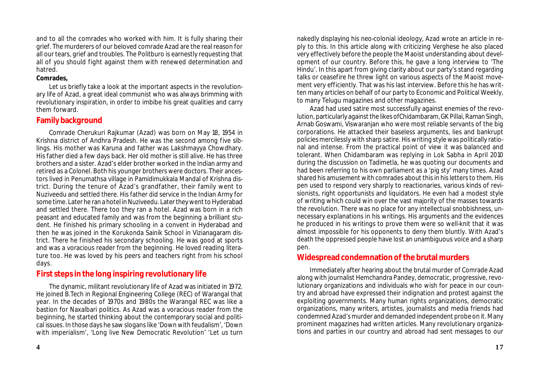and to all the comrades who worked with him. It is fully sharing their grief. The murderers of our beloved comrade Azad are the real reason for all our tears, grief and troubles. The Politburo is earnestly requesting that all of you should fight against them with renewed determination and hatred.

#### **Comrades,**

Let us briefly take a look at the important aspects in the revolutionary life of Azad, a great ideal communist who was always brimming with revolutionary inspiration, in order to imbibe his great qualities and carry them forward.

#### **Family background**

Comrade Cherukuri Rajkumar (Azad) was born on May 18, 1954 in Krishna district of Andhra Pradesh. He was the second among five siblings. His mother was Karuna and father was Lakshmayya Chowdhary. His father died a few days back. Her old mother is still alive. He has three brothers and a sister. Azad's elder brother worked in the Indian army and retired as a Colonel. Both his younger brothers were doctors. Their ancestors lived in Penumathsa village in Pamidimukkala Mandal of Krishna district. During the tenure of Azad's grandfather, their family went to Nuziveedu and settled there. His father did service in the Indian Army for some time. Later he ran a hotel in Nuziveedu. Later they went to Hyderabad and settled there. There too they ran a hotel. Azad was born in a rich peasant and educated family and was from the beginning a brilliant student. He finished his primary schooling in a convent in Hyderabad and then he was joined in the Korukonda Sainik School in Vizianagaram district. There he finished his secondary schooling. He was good at sports and was a voracious reader from the beginning. He loved reading literature too. He was loved by his peers and teachers right from his school days.

### **First steps in the long inspiring revolutionary life**

The dynamic, militant revolutionary life of Azad was initiated in 1972. He joined B.Tech in Regional Engineering College (REC) of Warangal that year. In the decades of 1970s and 1980s the Warangal REC was like a bastion for Naxalbari politics. As Azad was a voracious reader from the beginning, he started thinking about the contemporary social and political issues. In those days he saw slogans like 'Down with feudalism', 'Down with imperialism', 'Long live New Democratic Revolution' 'Let us turn

nakedly displaying his neo-colonial ideology, Azad wrote an article in reply to this. In this article along with criticizing Verghese he also placed very effectively before the people the Maoist understanding about development of our country. Before this, he gave a long interview to 'The Hindu'. In this apart from giving clarity about our party's stand regarding talks or ceasefire he threw light on various aspects of the Maoist movement very efficiently. That was his last interview. Before this he has written many articles on behalf of our party to Economic and Political Weekly, to many Telugu magazines and other magazines.

Azad had used satire most successfully against enemies of the revolution, particularly against the likes ofChidambaram, GK Pillai, Raman Singh, Arnab Goswami, Viswaranjan who were most reliable servants of the big corporations. He attacked their baseless arguments, lies and bankrupt policies mercilessly with sharp satire. His writing style was politically rational and intense. From the practical point of view it was balanced and tolerant. When Chidambaram was replying in Lok Sabha in April 2010 during the discussion on Tadimetla, he was quoting our documents and had been referring to his own parliament as a 'pig sty' many times. Azad shared his amusement with comrades about this in his letters to them. His pen used to respond very sharply to reactionaries, various kinds of revisionists, right opportunists and liquidators. He even had a modest style of writing which could win over the vast majority of the masses towards the revolution. There was no place for any intellectual snobbishness, unnecessary explanations in his writings. His arguments and the evidences he produced in his writings to prove them were so well-knit that it was almost impossible for his opponents to deny them bluntly. With Azad's death the oppressed people have lost an unambiguous voice and a sharp pen.

#### **Widespread condemnation of the brutal murders**

Immediately after hearing about the brutal murder of Comrade Azad along with journalist Hemchandra Pandey, democratic, progressive, revolutionary organizations and individuals who wish for peace in our country and abroad have expressed their indignation and protest against the exploiting governments. Many human rights organizations, democratic organizations, many writers, artistes, journalists and media friends had condemned Azad's murder and demanded independent probe on it. Many prominent magazines had written articles. Many revolutionary organizations and parties in our country and abroad had sent messages to our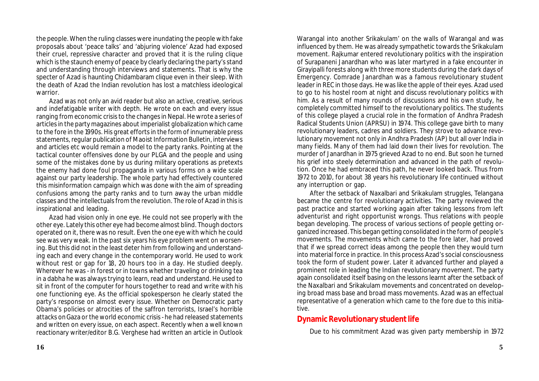the people. When the ruling classes were inundating the people with fake proposals about 'peace talks' and 'abjuring violence' Azad had exposed their cruel, repressive character and proved that it is the ruling clique which is the staunch enemy of peace by clearly declaring the party's stand and understanding through interviews and statements. That is why the specter of Azad is haunting Chidambaram clique even in their sleep. With the death of Azad the Indian revolution has lost a matchless ideological warrior.

Azad was not only an avid reader but also an active, creative, serious and indefatigable writer with depth. He wrote on each and every issue ranging from economic crisis to the changes in Nepal. He wrote a series of articles in the party magazines about imperialist globalization which came to the fore in the 1990s. His great efforts in the form of innumerable press statements, regular publication of Maoist Information Bulletin, interviews and articles etc would remain a model to the party ranks. Pointing at the tactical counter offensives done by our PLGA and the people and using some of the mistakes done by us during military operations as pretexts the enemy had done foul propaganda in various forms on a wide scale against our party leadership. The whole party had effectively countered this misinformation campaign which was done with the aim of spreading confusions among the party ranks and to turn away the urban middle classes and the intellectuals from the revolution. The role of Azad in this is inspirational and leading.

Azad had vision only in one eye. He could not see properly with the other eye. Lately this other eye had become almost blind. Though doctors operated on it, there was no result. Even the one eye with which he could see was very weak. In the past six years his eye problem went on worsening. But this did not in the least deter him from following and understanding each and every change in the contemporary world. He used to work without rest or gap for 18, 20 hours too in a day. He studied deeply. Wherever he was - in forest or in towns whether traveling or drinking tea in a dabha he was always trying to learn, read and understand. He used to sit in front of the computer for hours together to read and write with his one functioning eye. As the official spokesperson he clearly stated the party's response on almost every issue. Whether on Democratic party Obama's policies or atrocities of the saffron terrorists, Israel's horrible attacks on Gaza or the world economic crisis - he had released statements and written on every issue, on each aspect. Recently when a well known reactionary writer/editor B.G. Verghese had written an article in Outlook Warangal into another Srikakulam' on the walls of Warangal and was influenced by them. He was already sympathetic towards the Srikakulam movement. Rajkumar entered revolutionary politics with the inspiration of Surapaneni Janardhan who was later martyred in a fake encounter in Girayipalli forests along with three more students during the dark days of Emergency. Comrade Janardhan was a famous revolutionary student leader in REC in those days. He was like the apple of their eyes. Azad used to go to his hostel room at night and discuss revolutionary politics with him. As a result of many rounds of discussions and his own study, he completely committed himself to the revolutionary politics. The students of this college played a crucial role in the formation of Andhra Pradesh Radical Students Union (APRSU) in 1974. This college gave birth to many revolutionary leaders, cadres and soldiers. They strove to advance revolutionary movement not only in Andhra Pradesh (AP) but all over India in many fields. Many of them had laid down their lives for revolution. The murder of Janardhan in 1975 grieved Azad to no end. But soon he turned his grief into steely determination and advanced in the path of revolution. Once he had embraced this path, he never looked back. Thus from 1972 to 2010, for about 38 years his revolutionary life continued without any interruption or gap.

After the setback of Naxalbari and Srikakulam struggles, Telangana became the centre for revolutionary activities. The party reviewed the past practice and started working again after taking lessons from left adventurist and right opportunist wrongs. Thus relations with people began developing. The process of various sections of people getting organized increased. This began getting consolidated in the form of people's movements. The movements which came to the fore later, had proved that if we spread correct ideas among the people then they would turn into material force in practice. In this process Azad's social consciousness took the form of student power. Later it advanced further and played a prominent role in leading the Indian revolutionary movement. The party again consolidated itself basing on the lessons learnt after the setback of the Naxalbari and Srikakulam movements and concentrated on developing broad mass base and broad mass movements. Azad was an effectual representative of a generation which came to the fore due to this initiative.

#### **Dynamic Revolutionary student life**

Due to his commitment Azad was given party membership in 1972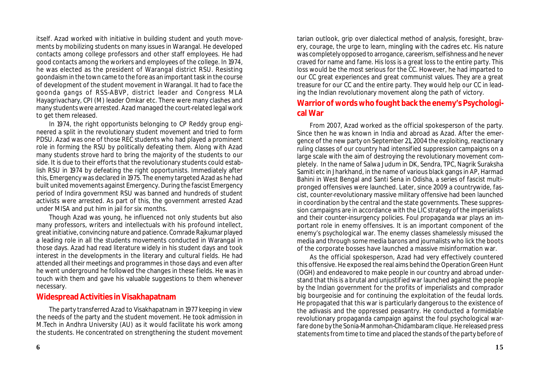itself. Azad worked with initiative in building student and youth movements by mobilizing students on many issues in Warangal. He developed contacts among college professors and other staff employees. He had good contacts among the workers and employees of the college. In 1974, he was elected as the president of Warangal district RSU. Resisting goondaism in the town came to the fore as an important task in the course of development of the student movement in Warangal. It had to face the goonda gangs of RSS-ABVP, district leader and Congress MLA Hayagrivachary, CPI (M) leader Omkar etc. There were many clashes and many students were arrested. Azad managed the court-related legal work to get them released.

In 1974, the right opportunists belonging to CP Reddy group engineered a split in the revolutionary student movement and tried to form PDSU. Azad was one of those REC students who had played a prominent role in forming the RSU by politically defeating them. Along with Azad many students strove hard to bring the majority of the students to our side. It is due to their efforts that the revolutionary students could establish RSU in 1974 by defeating the right opportunists. Immediately after this, Emergency was declared in 1975. The enemy targeted Azad as he had built united movements against Emergency. During the fascist Emergency period of Indira government RSU was banned and hundreds of student activists were arrested. As part of this, the government arrested Azad under MISA and put him in jail for six months.

Though Azad was young, he influenced not only students but also many professors, writers and intellectuals with his profound intellect, great initiative, convincing nature and patience. Comrade Rajkumar played a leading role in all the students movements conducted in Warangal in those days. Azad had read literature widely in his student days and took interest in the developments in the literary and cultural fields. He had attended all their meetings and programmes in those days and even after he went underground he followed the changes in these fields. He was in touch with them and gave his valuable suggestions to them whenever necessary.

#### **Widespread Activities in Visakhapatnam**

The party transferred Azad to Visakhapatnam in 1977 keeping in view the needs of the party and the student movement. He took admission in M.Tech in Andhra University (AU) as it would facilitate his work among the students. He concentrated on strengthening the student movement

tarian outlook, grip over dialectical method of analysis, foresight, bravery, courage, the urge to learn, mingling with the cadres etc. His nature was completely opposed to arrogance, careerism, selfishness and he never craved for name and fame. His loss is a great loss to the entire party. This loss would be the most serious for the CC. However, he had imparted to our CC great experiences and great communist values. They are a great treasure for our CC and the entire party. They would help our CC in leading the Indian revolutionary movement along the path of victory.

### **Warrior of words who fought back the enemy's Psychological War**

From 2007, Azad worked as the official spokesperson of the party. Since then he was known in India and abroad as Azad. After the emergence of the new party on September 21, 2004 the exploiting, reactionary ruling classes of our country had intensified suppression campaigns on a large scale with the aim of destroying the revolutionary movement completely. In the name of Salwa Judum in DK, Sendra, TPC, Nagrik Suraksha Samiti etc in Jharkhand, in the name of various black gangs in AP, Harmad Bahini in West Bengal and Santi Sena in Odisha, a series of fascist multipronged offensives were launched. Later, since 2009 a countrywide, fascist, counter-revolutionary massive military offensive had been launched in coordination by the central and the state governments. These suppression campaigns are in accordance with the LIC strategy of the imperialists and their counter-insurgency policies. Foul propaganda war plays an important role in enemy offensives. It is an important component of the enemy's psychological war. The enemy classes shamelessly misused the media and through some media barons and journalists who lick the boots of the corporate bosses have launched a massive misinformation war.

As the official spokesperson, Azad had very effectively countered this offensive. He exposed the real aims behind the Operation Green Hunt (OGH) and endeavored to make people in our country and abroad understand that this is a brutal and unjustified war launched against the people by the Indian government for the profits of imperialists and comprador big bourgeoisie and for continuing the exploitation of the feudal lords. He propagated that this war is particularly dangerous to the existence of the adivasis and the oppressed peasantry. He conducted a formidable revolutionary propaganda campaign against the foul psychological warfare done by the Sonia-Manmohan-Chidambaram clique. He released press statements from time to time and placed the stands of the party before of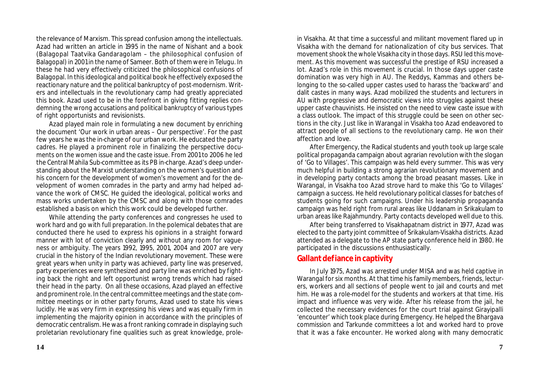the relevance of Marxism. This spread confusion among the intellectuals. Azad had written an article in 1995 in the name of Nishant and a book (Balagopal Taatvika Gandaragolam – the philosophical confusion of Balagopal) in 2001 in the name of Sameer. Both of them were in Telugu. In these he had very effectively criticized the philosophical confusions of Balagopal. In this ideological and political book he effectively exposed the reactionary nature and the political bankruptcy of post-modernism. Writers and intellectuals in the revolutionary camp had greatly appreciated this book. Azad used to be in the forefront in giving fitting replies condemning the wrong accusations and political bankruptcy of various types of right opportunists and revisionists.

Azad played main role in formulating a new document by enriching the document 'Our work in urban areas – Our perspective'. For the past few years he was the in-charge of our urban work. He educated the party cadres. He played a prominent role in finalizing the perspective documents on the women issue and the caste issue. From 2001 to 2006 he led the Central Mahila Sub-committee as its PB in-charge. Azad's deep understanding about the Marxist understanding on the women's question and his concern for the development of women's movement and for the development of women comrades in the party and army had helped advance the work of CMSC. He guided the ideological, political works and mass works undertaken by the CMSC and along with those comrades established a basis on which this work could be developed further.

While attending the party conferences and congresses he used to work hard and go with full preparation. In the polemical debates that are conducted there he used to express his opinions in a straight forward manner with lot of conviction clearly and without any room for vagueness or ambiguity. The years 1992, 1995, 2001, 2004 and 2007 are very crucial in the history of the Indian revolutionary movement. These were great years when unity in party was achieved, party line was preserved, party experiences were synthesized and party line was enriched by fighting back the right and left opportunist wrong trends which had raised their head in the party. On all these occasions, Azad played an effective and prominent role. In the central committee meetings and the state committee meetings or in other party forums, Azad used to state his views lucidly. He was very firm in expressing his views and was equally firm in implementing the majority opinion in accordance with the principles of democratic centralism. He was a front ranking comrade in displaying such proletarian revolutionary fine qualities such as great knowledge, prole-

in Visakha. At that time a successful and militant movement flared up in Visakha with the demand for nationalization of city bus services. That movement shook the whole Visakha city in those days. RSU led this movement. As this movement was successful the prestige of RSU increased a lot. Azad's role in this movement is crucial. In those days upper caste domination was very high in AU. The Reddys, Kammas and others belonging to the so-called upper castes used to harass the 'backward' and dalit castes in many ways. Azad mobilized the students and lecturers in AU with progressive and democratic views into struggles against these upper caste chauvinists. He insisted on the need to view caste issue with a class outlook. The impact of this struggle could be seen on other sections in the city. Just like in Warangal in Visakha too Azad endeavored to attract people of all sections to the revolutionary camp. He won their affection and love.

After Emergency, the Radical students and youth took up large scale political propaganda campaign about agrarian revolution with the slogan of 'Go to Villages'. This campaign was held every summer. This was very much helpful in building a strong agrarian revolutionary movement and in developing party contacts among the broad peasant masses. Like in Warangal, in Visakha too Azad strove hard to make this 'Go to Villages' campaign a success. He held revolutionary political classes for batches of students going for such campaigns. Under his leadership propaganda campaign was held right from rural areas like Uddanam in Srikakulam to urban areas like Rajahmundry. Party contacts developed well due to this.

After being transferred to Visakhapatnam district in 1977, Azad was elected to the party joint committee of Srikakulam-Visakha districts. Azad attended as a delegate to the AP state party conference held in 1980. He participated in the discussions enthusiastically.

#### **Gallant defiance in captivity**

In July 1975, Azad was arrested under MISA and was held captive in Warangal for six months. At that time his family members, friends, lecturers, workers and all sections of people went to jail and courts and met him. He was a role-model for the students and workers at that time. His impact and influence was very wide. After his release from the jail, he collected the necessary evidences for the court trial against Girayipalli 'encounter' which took place during Emergency. He helped the Bhargava commission and Tarkunde committees a lot and worked hard to prove that it was a fake encounter. He worked along with many democratic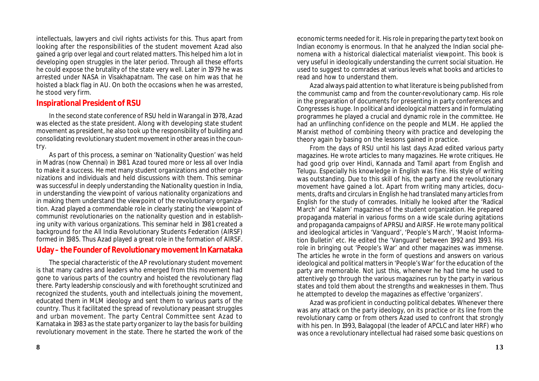intellectuals, lawyers and civil rights activists for this. Thus apart from looking after the responsibilities of the student movement Azad also gained a grip over legal and court related matters. This helped him a lot in developing open struggles in the later period. Through all these efforts he could expose the brutality of the state very well. Later in 1979 he was arrested under NASA in Visakhapatnam. The case on him was that he hoisted a black flag in AU. On both the occasions when he was arrested, he stood very firm.

#### **Inspirational President of RSU**

In the second state conference of RSU held in Warangal in 1978, Azad was elected as the state president. Along with developing state student movement as president, he also took up the responsibility of building and consolidating revolutionary student movement in other areas in the country.

As part of this process, a seminar on 'Nationality Question' was held in Madras (now Chennai) in 1981. Azad toured more or less all over India to make it a success. He met many student organizations and other organizations and individuals and held discussions with them. This seminar was successful in deeply understanding the Nationality question in India, in understanding the viewpoint of various nationality organizations and in making them understand the viewpoint of the revolutionary organization. Azad played a commendable role in clearly stating the viewpoint of communist revolutionaries on the nationality question and in establishing unity with various organizations. This seminar held in 1981 created a background for the All India Revolutionary Students Federation (AIRSF) formed in 1985. Thus Azad played a great role in the formation of AIRSF.

#### **Uday – the Founder of Revolutionary movement In Karnataka**

The special characteristic of the AP revolutionary student movement is that many cadres and leaders who emerged from this movement had gone to various parts of the country and hoisted the revolutionary flag there. Party leadership consciously and with forethought scrutinized and recognized the students, youth and intellectuals joining the movement, educated them in MLM ideology and sent them to various parts of the country. Thus it facilitated the spread of revolutionary peasant struggles and urban movement. The party Central Committee sent Azad to Karnataka in 1983 as the state party organizer to lay the basis for building revolutionary movement in the state. There he started the work of the

economic terms needed for it. His role in preparing the party text book on Indian economy is enormous. In that he analyzed the Indian social phenomena with a historical dialectical materialist viewpoint. This book is very useful in ideologically understanding the current social situation. He used to suggest to comrades at various levels what books and articles to read and how to understand them.

Azad always paid attention to what literature is being published from the communist camp and from the counter-revolutionary camp. His role in the preparation of documents for presenting in party conferences and Congresses is huge. In political and ideological matters and in formulating programmes he played a crucial and dynamic role in the committee. He had an unflinching confidence on the people and MLM. He applied the Marxist method of combining theory with practice and developing the theory again by basing on the lessons gained in practice.

From the days of RSU until his last days Azad edited various party magazines. He wrote articles to many magazines. He wrote critiques. He had good grip over Hindi, Kannada and Tamil apart from English and Telugu. Especially his knowledge in English was fine. His style of writing was outstanding. Due to this skill of his, the party and the revolutionary movement have gained a lot. Apart from writing many articles, documents, drafts and circulars in English he had translated many articles from English for the study of comrades. Initially he looked after the 'Radical March' and 'Kalam' magazines of the student organization. He prepared propaganda material in various forms on a wide scale during agitations and propaganda campaigns of APRSU and AIRSF. He wrote many political and ideological articles in 'Vanguard', 'People's March', 'Maoist Information Bulletin' etc. He edited the 'Vanguard' between 1992 and 1993. His role in bringing out 'People's War' and other magazines was immense. The articles he wrote in the form of questions and answers on various ideological and political matters in 'People's War' for the education of the party are memorable. Not just this, whenever he had time he used to attentively go through the various magazines run by the party in various states and told them about the strengths and weaknesses in them. Thus he attempted to develop the magazines as effective 'organizers'.

Azad was proficient in conducting political debates. Whenever there was any attack on the party ideology, on its practice or its line from the revolutionary camp or from others Azad used to confront that strongly with his pen. In 1993, Balagopal (the leader of APCLC and later HRF) who was once a revolutionary intellectual had raised some basic questions on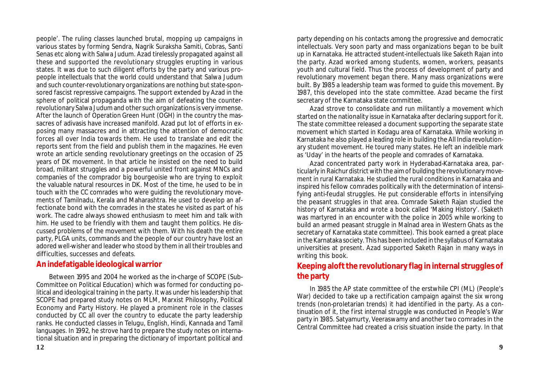people'. The ruling classes launched brutal, mopping up campaigns in various states by forming Sendra, Nagrik Suraksha Samiti, Cobras, Santi Senas etc along with Salwa Judum. Azad tirelessly propagated against all these and supported the revolutionary struggles erupting in various states. It was due to such diligent efforts by the party and various propeople intellectuals that the world could understand that Salwa Judum and such counter-revolutionary organizations are nothing but state-sponsored fascist repressive campaigns. The support extended by Azad in the sphere of political propaganda with the aim of defeating the counterrevolutionary Salwa Judum and other such organizations is very immense. After the launch of Operation Green Hunt (OGH) in the country the massacres of adivasis have increased manifold. Azad put lot of efforts in exposing many massacres and in attracting the attention of democratic forces all over India towards them. He used to translate and edit the reports sent from the field and publish them in the magazines. He even wrote an article sending revolutionary greetings on the occasion of 25 years of DK movement. In that article he insisted on the need to build broad, militant struggles and a powerful united front against MNCs and companies of the comprador big bourgeoisie who are trying to exploit the valuable natural resources in DK. Most of the time, he used to be in touch with the CC comrades who were guiding the revolutionary movements of Tamilnadu, Kerala and Maharashtra. He used to develop an affectionate bond with the comrades in the states he visited as part of his work. The cadre always showed enthusiasm to meet him and talk with him. He used to be friendly with them and taught them politics. He discussed problems of the movement with them. With his death the entire party, PLGA units, commands and the people of our country have lost an adored well-wisher and leader who stood by them in all their troubles and difficulties, successes and defeats.

#### **An indefatigable ideological warrior**

Between 1995 and 2004 he worked as the in-charge of SCOPE (Sub-Committee on Political Education) which was formed for conducting political and ideological training in the party. It was under his leadership that SCOPE had prepared study notes on MLM, Marxist Philosophy, Political Economy and Party History. He played a prominent role in the classes conducted by CC all over the country to educate the party leadership ranks. He conducted classes in Telugu, English, Hindi, Kannada and Tamil languages. In 1992, he strove hard to prepare the study notes on international situation and in preparing the dictionary of important political and

party depending on his contacts among the progressive and democratic intellectuals. Very soon party and mass organizations began to be built up in Karnataka. He attracted student-intellectuals like Saketh Rajan into the party. Azad worked among students, women, workers, peasants youth and cultural field. Thus the process of development of party and revolutionary movement began there. Many mass organizations were built. By 1985 a leadership team was formed to guide this movement. By 1987, this developed into the state committee. Azad became the first secretary of the Karnataka state committee.

Azad strove to consolidate and run militantly a movement which started on the nationality issue in Karnataka after declaring support for it. The state committee released a document supporting the separate state movement which started in Kodagu area of Karnataka. While working in Karnataka he also played a leading role in building the All India revolutionary student movement. He toured many states. He left an indelible mark as 'Uday' in the hearts of the people and comrades of Karnataka.

Azad concentrated party work in Hyderabad-Karnataka area, particularly in Raichur district with the aim of building the revolutionary movement in rural Karnataka. He studied the rural conditions in Karnataka and inspired his fellow comrades politically with the determination of intensifying anti-feudal struggles. He put considerable efforts in intensifying the peasant struggles in that area. Comrade Saketh Rajan studied the history of Karnataka and wrote a book called 'Making History'. (Saketh was martyred in an encounter with the police in 2005 while working to build an armed peasant struggle in Malnad area in Western Ghats as the secretary of Karnataka state committee). This book earned a great place in the Karnataka society. This has been included in the syllabus of Karnataka universities at present. Azad supported Saketh Rajan in many ways in writing this book.

#### **Keeping aloft the revolutionary flag in internal struggles of the party**

In 1985 the AP state committee of the erstwhile CPI (ML) (People's War) decided to take up a rectification campaign against the six wrong trends (non-proletarian trends) it had identified in the party. As a continuation of it, the first internal struggle was conducted in People's War party in 1985. Satyamurty, Veeraswamy and another two comrades in the Central Committee had created a crisis situation inside the party. In that